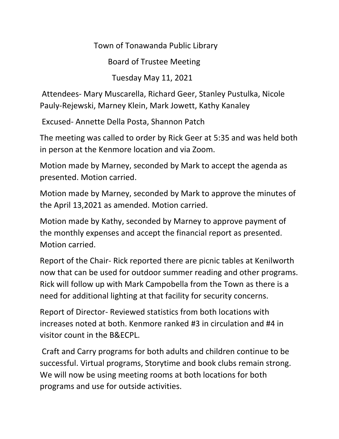Town of Tonawanda Public Library

Board of Trustee Meeting

Tuesday May 11, 2021

Attendees- Mary Muscarella, Richard Geer, Stanley Pustulka, Nicole Pauly-Rejewski, Marney Klein, Mark Jowett, Kathy Kanaley

Excused- Annette Della Posta, Shannon Patch

The meeting was called to order by Rick Geer at 5:35 and was held both in person at the Kenmore location and via Zoom.

Motion made by Marney, seconded by Mark to accept the agenda as presented. Motion carried.

Motion made by Marney, seconded by Mark to approve the minutes of the April 13,2021 as amended. Motion carried.

Motion made by Kathy, seconded by Marney to approve payment of the monthly expenses and accept the financial report as presented. Motion carried.

Report of the Chair- Rick reported there are picnic tables at Kenilworth now that can be used for outdoor summer reading and other programs. Rick will follow up with Mark Campobella from the Town as there is a need for additional lighting at that facility for security concerns.

Report of Director- Reviewed statistics from both locations with increases noted at both. Kenmore ranked #3 in circulation and #4 in visitor count in the B&ECPL.

Craft and Carry programs for both adults and children continue to be successful. Virtual programs, Storytime and book clubs remain strong. We will now be using meeting rooms at both locations for both programs and use for outside activities.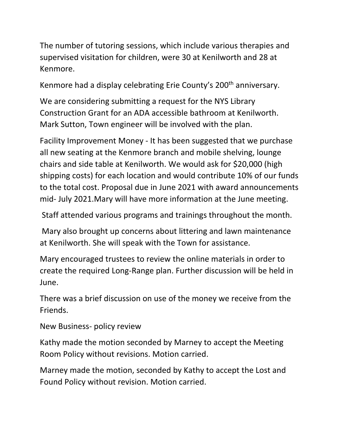The number of tutoring sessions, which include various therapies and supervised visitation for children, were 30 at Kenilworth and 28 at Kenmore.

Kenmore had a display celebrating Erie County's 200<sup>th</sup> anniversary.

We are considering submitting a request for the NYS Library Construction Grant for an ADA accessible bathroom at Kenilworth. Mark Sutton, Town engineer will be involved with the plan.

Facility Improvement Money - It has been suggested that we purchase all new seating at the Kenmore branch and mobile shelving, lounge chairs and side table at Kenilworth. We would ask for \$20,000 (high shipping costs) for each location and would contribute 10% of our funds to the total cost. Proposal due in June 2021 with award announcements mid- July 2021.Mary will have more information at the June meeting.

Staff attended various programs and trainings throughout the month.

Mary also brought up concerns about littering and lawn maintenance at Kenilworth. She will speak with the Town for assistance.

Mary encouraged trustees to review the online materials in order to create the required Long-Range plan. Further discussion will be held in June.

There was a brief discussion on use of the money we receive from the Friends.

New Business- policy review

Kathy made the motion seconded by Marney to accept the Meeting Room Policy without revisions. Motion carried.

Marney made the motion, seconded by Kathy to accept the Lost and Found Policy without revision. Motion carried.